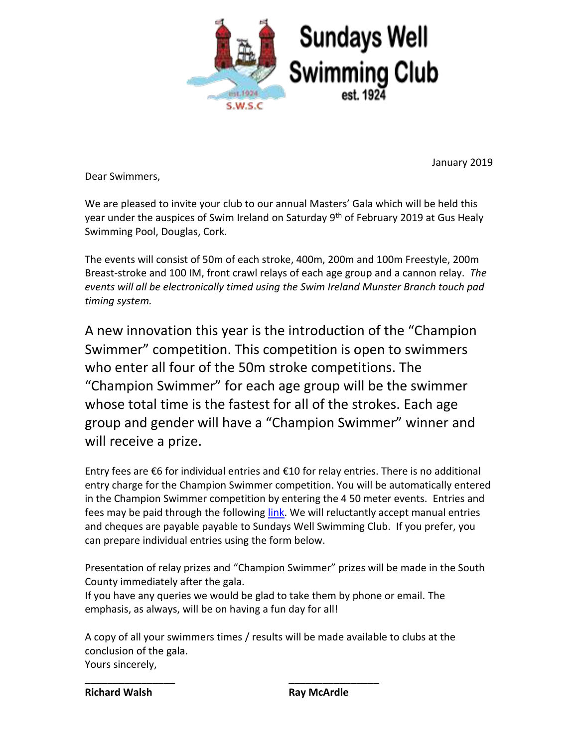

January 2019

Dear Swimmers,

We are pleased to invite your club to our annual Masters' Gala which will be held this year under the auspices of Swim Ireland on Saturday 9<sup>th</sup> of February 2019 at Gus Healy Swimming Pool, Douglas, Cork.

The events will consist of 50m of each stroke, 400m, 200m and 100m Freestyle, 200m Breast-stroke and 100 IM, front crawl relays of each age group and a cannon relay. *The events will all be electronically timed using the Swim Ireland Munster Branch touch pad timing system.*

A new innovation this year is the introduction of the "Champion Swimmer" competition. This competition is open to swimmers who enter all four of the 50m stroke competitions. The "Champion Swimmer" for each age group will be the swimmer whose total time is the fastest for all of the strokes. Each age group and gender will have a "Champion Swimmer" winner and will receive a prize.

Entry fees are €6 for individual entries and €10 for relay entries. There is no additional entry charge for the Champion Swimmer competition. You will be automatically entered in the Champion Swimmer competition by entering the 4 50 meter events. Entries and fees may be paid through the following [link.](https://irishmastersswimming.ie/sundays-well-2019/) We will reluctantly accept manual entries and cheques are payable payable to Sundays Well Swimming Club. If you prefer, you can prepare individual entries using the form below.

Presentation of relay prizes and "Champion Swimmer" prizes will be made in the South County immediately after the gala.

If you have any queries we would be glad to take them by phone or email. The emphasis, as always, will be on having a fun day for all!

A copy of all your swimmers times / results will be made available to clubs at the conclusion of the gala. Yours sincerely,

\_\_\_\_\_\_\_\_\_\_\_\_\_\_\_\_ \_\_\_\_\_\_\_\_\_\_\_\_\_\_\_\_

**Richard Walsh Ray McArdle**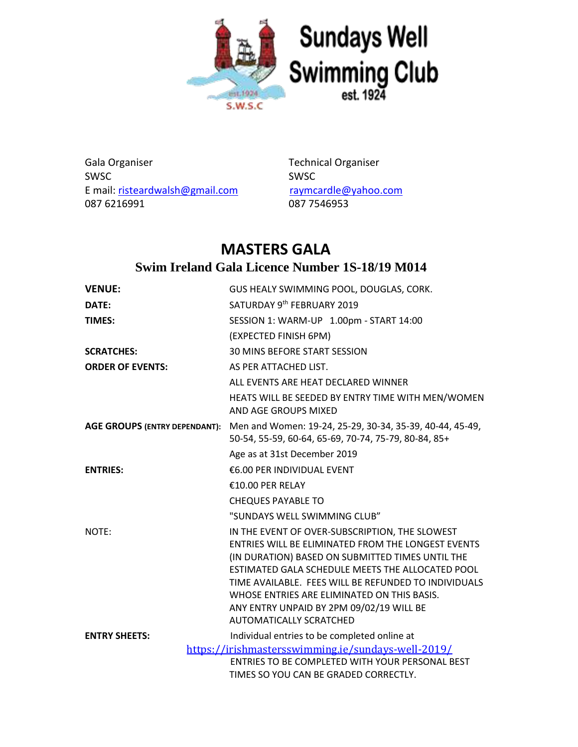

Gala Organiser **Technical Organiser** Cala Organiser SWSC SWSC E mail: [risteardwalsh@gmail.com](mailto:risteardwalsh@gmail.com) [raymcardle@yahoo.com](mailto:raymcardle@yahoo.com) 087 6216991 087 7546953

## **MASTERS GALA Swim Ireland Gala Licence Number 1S-18/19 M014**

| <b>VENUE:</b>                        | GUS HEALY SWIMMING POOL, DOUGLAS, CORK.                                                                                                                                                                                                                                                                                                                                                           |
|--------------------------------------|---------------------------------------------------------------------------------------------------------------------------------------------------------------------------------------------------------------------------------------------------------------------------------------------------------------------------------------------------------------------------------------------------|
| DATE:                                | SATURDAY 9th FEBRUARY 2019                                                                                                                                                                                                                                                                                                                                                                        |
| <b>TIMES:</b>                        | SESSION 1: WARM-UP 1.00pm - START 14:00                                                                                                                                                                                                                                                                                                                                                           |
|                                      | (EXPECTED FINISH 6PM)                                                                                                                                                                                                                                                                                                                                                                             |
| <b>SCRATCHES:</b>                    | 30 MINS BEFORE START SESSION                                                                                                                                                                                                                                                                                                                                                                      |
| <b>ORDER OF EVENTS:</b>              | AS PER ATTACHED LIST.                                                                                                                                                                                                                                                                                                                                                                             |
|                                      | ALL EVENTS ARE HEAT DECLARED WINNER                                                                                                                                                                                                                                                                                                                                                               |
|                                      | HEATS WILL BE SEEDED BY ENTRY TIME WITH MEN/WOMEN<br>AND AGE GROUPS MIXED                                                                                                                                                                                                                                                                                                                         |
| <b>AGE GROUPS (ENTRY DEPENDANT):</b> | Men and Women: 19-24, 25-29, 30-34, 35-39, 40-44, 45-49,<br>50-54, 55-59, 60-64, 65-69, 70-74, 75-79, 80-84, 85+                                                                                                                                                                                                                                                                                  |
|                                      | Age as at 31st December 2019                                                                                                                                                                                                                                                                                                                                                                      |
| <b>ENTRIES:</b>                      | €6.00 PER INDIVIDUAL EVENT                                                                                                                                                                                                                                                                                                                                                                        |
|                                      | €10.00 PER RELAY                                                                                                                                                                                                                                                                                                                                                                                  |
|                                      | <b>CHEQUES PAYABLE TO</b>                                                                                                                                                                                                                                                                                                                                                                         |
|                                      | "SUNDAYS WELL SWIMMING CLUB"                                                                                                                                                                                                                                                                                                                                                                      |
| NOTE:                                | IN THE EVENT OF OVER-SUBSCRIPTION, THE SLOWEST<br>ENTRIES WILL BE ELIMINATED FROM THE LONGEST EVENTS<br>(IN DURATION) BASED ON SUBMITTED TIMES UNTIL THE<br>ESTIMATED GALA SCHEDULE MEETS THE ALLOCATED POOL<br>TIME AVAILABLE. FEES WILL BE REFUNDED TO INDIVIDUALS<br>WHOSE ENTRIES ARE ELIMINATED ON THIS BASIS.<br>ANY ENTRY UNPAID BY 2PM 09/02/19 WILL BE<br><b>AUTOMATICALLY SCRATCHED</b> |
| <b>ENTRY SHEETS:</b>                 | Individual entries to be completed online at                                                                                                                                                                                                                                                                                                                                                      |
|                                      | https://irishmastersswimming.ie/sundays-well-2019/<br>ENTRIES TO BE COMPLETED WITH YOUR PERSONAL BEST<br>TIMES SO YOU CAN BE GRADED CORRECTLY.                                                                                                                                                                                                                                                    |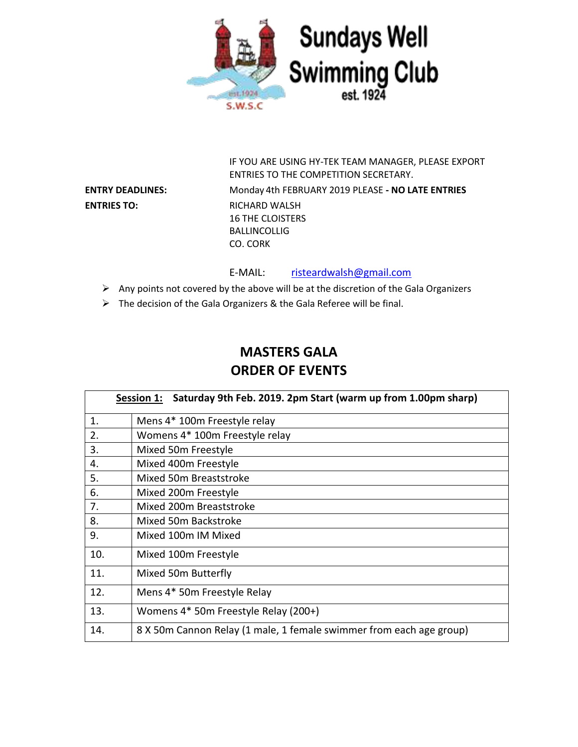

**ENTRIES TO:** RICHARD WALSH

IF YOU ARE USING HY-TEK TEAM MANAGER, PLEASE EXPORT ENTRIES TO THE COMPETITION SECRETARY. **ENTRY DEADLINES:** Monday 4th FEBRUARY 2019 PLEASE **- NO LATE ENTRIES** 16 THE CLOISTERS BALLINCOLLIG CO. CORK

E-MAIL: [risteardwalsh@gmail.com](mailto:risteardwalsh@gmail.com)

- $\triangleright$  Any points not covered by the above will be at the discretion of the Gala Organizers
- ➢ The decision of the Gala Organizers & the Gala Referee will be final.

## **MASTERS GALA ORDER OF EVENTS**

|     | Saturday 9th Feb. 2019. 2pm Start (warm up from 1.00pm sharp)<br><b>Session 1:</b> |  |  |  |  |
|-----|------------------------------------------------------------------------------------|--|--|--|--|
| 1.  | Mens 4* 100m Freestyle relay                                                       |  |  |  |  |
| 2.  | Womens 4* 100m Freestyle relay                                                     |  |  |  |  |
| 3.  | Mixed 50m Freestyle                                                                |  |  |  |  |
| 4.  | Mixed 400m Freestyle                                                               |  |  |  |  |
| 5.  | Mixed 50m Breaststroke                                                             |  |  |  |  |
| 6.  | Mixed 200m Freestyle                                                               |  |  |  |  |
| 7.  | Mixed 200m Breaststroke                                                            |  |  |  |  |
| 8.  | Mixed 50m Backstroke                                                               |  |  |  |  |
| 9.  | Mixed 100m IM Mixed                                                                |  |  |  |  |
| 10. | Mixed 100m Freestyle                                                               |  |  |  |  |
| 11. | Mixed 50m Butterfly                                                                |  |  |  |  |
| 12. | Mens 4* 50m Freestyle Relay                                                        |  |  |  |  |
| 13. | Womens 4* 50m Freestyle Relay (200+)                                               |  |  |  |  |
| 14. | 8 X 50m Cannon Relay (1 male, 1 female swimmer from each age group)                |  |  |  |  |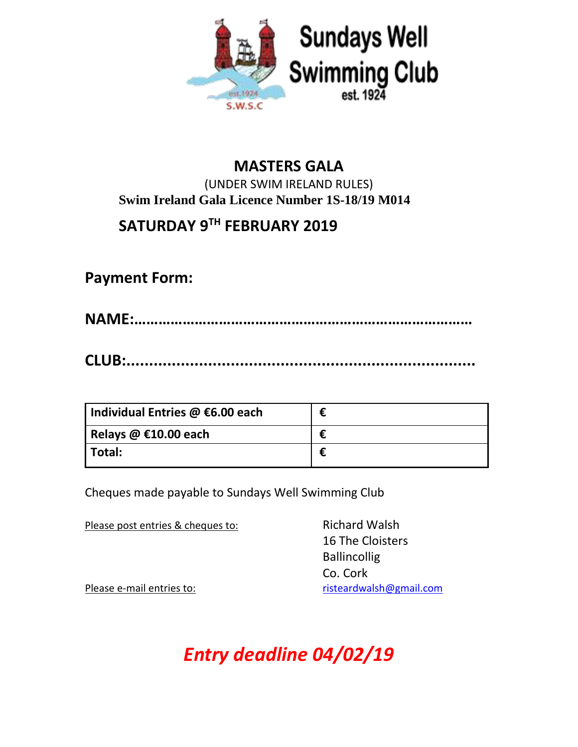

#### **MASTERS GALA** (UNDER SWIM IRELAND RULES) **Swim Ireland Gala Licence Number 1S-18/19 M014**

# **SATURDAY 9 TH FEBRUARY 2019**

**Payment Form:**

**NAME:…………………………………………………………………………**

**CLUB:.............................................................................**

| Individual Entries @ €6.00 each |  |
|---------------------------------|--|
| Relays $@$ €10.00 each          |  |
| l Total:                        |  |

Cheques made payable to Sundays Well Swimming Club

Please post entries & cheques to: Richard Walsh

16 The Cloisters Ballincollig Co. Cork Please e-mail entries to: [risteardwalsh@gmail.com](mailto:risteardwalsh@gmail.com)

*Entry deadline 04/02/19*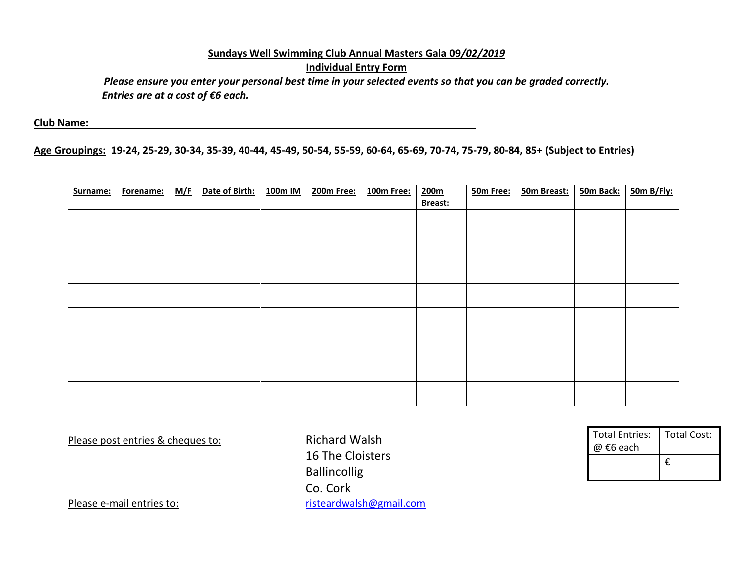### **Sundays Well Swimming Club Annual Masters Gala 09***/02/2019* **Individual Entry Form**

*Please ensure you enter your personal best time in your selected events so that you can be graded correctly. Entries are at a cost of €6 each.*

**Club Name:** 

**Age Groupings: 19-24, 25-29, 30-34, 35-39, 40-44, 45-49, 50-54, 55-59, 60-64, 65-69, 70-74, 75-79, 80-84, 85+ (Subject to Entries)**

| Surname: | Forename: | M/F | Date of Birth: | 100m IM | 200m Free: | 100m Free: | 200m    | 50m Free: | 50m Breast: | 50m Back: | 50m B/Fly: |
|----------|-----------|-----|----------------|---------|------------|------------|---------|-----------|-------------|-----------|------------|
|          |           |     |                |         |            |            | Breast: |           |             |           |            |
|          |           |     |                |         |            |            |         |           |             |           |            |
|          |           |     |                |         |            |            |         |           |             |           |            |
|          |           |     |                |         |            |            |         |           |             |           |            |
|          |           |     |                |         |            |            |         |           |             |           |            |
|          |           |     |                |         |            |            |         |           |             |           |            |
|          |           |     |                |         |            |            |         |           |             |           |            |
|          |           |     |                |         |            |            |         |           |             |           |            |
|          |           |     |                |         |            |            |         |           |             |           |            |
|          |           |     |                |         |            |            |         |           |             |           |            |
|          |           |     |                |         |            |            |         |           |             |           |            |
|          |           |     |                |         |            |            |         |           |             |           |            |
|          |           |     |                |         |            |            |         |           |             |           |            |
|          |           |     |                |         |            |            |         |           |             |           |            |
|          |           |     |                |         |            |            |         |           |             |           |            |
|          |           |     |                |         |            |            |         |           |             |           |            |
|          |           |     |                |         |            |            |         |           |             |           |            |

Please post entries & cheques to: Richard Walsh

16 The Cloisters **Ballincollig** Co. Cork Please e-mail entries to: [risteardwalsh@gmail.com](mailto:risteardwalsh@gmail.com)

| <b>Total Entries:</b><br>@ €6 each | <b>Total Cost:</b> |  |  |
|------------------------------------|--------------------|--|--|
|                                    | €                  |  |  |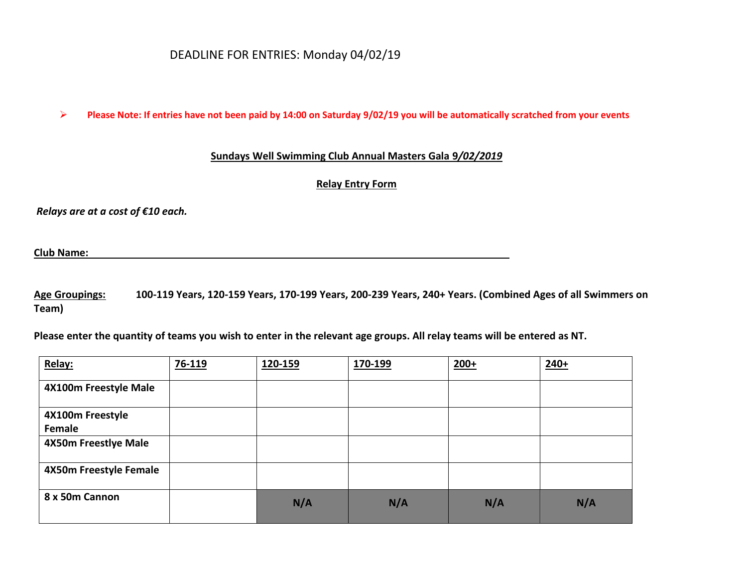#### DEADLINE FOR ENTRIES: Monday 04/02/19

➢ **Please Note: If entries have not been paid by 14:00 on Saturday 9/02/19 you will be automatically scratched from your events**

#### **Sundays Well Swimming Club Annual Masters Gala 9***/02/2019*

**Relay Entry Form**

*Relays are at a cost of €10 each.*

**Club Name:** 

**Age Groupings: 100-119 Years, 120-159 Years, 170-199 Years, 200-239 Years, 240+ Years. (Combined Ages of all Swimmers on Team)**

**Please enter the quantity of teams you wish to enter in the relevant age groups. All relay teams will be entered as NT.**

| Relay:                 | 76-119 | 120-159      | 170-199                                                                                                                                                                                                                        | $200+$                                                                                                                                           | $240+$                                |
|------------------------|--------|--------------|--------------------------------------------------------------------------------------------------------------------------------------------------------------------------------------------------------------------------------|--------------------------------------------------------------------------------------------------------------------------------------------------|---------------------------------------|
| 4X100m Freestyle Male  |        |              |                                                                                                                                                                                                                                |                                                                                                                                                  |                                       |
| 4X100m Freestyle       |        |              |                                                                                                                                                                                                                                |                                                                                                                                                  |                                       |
| Female                 |        |              |                                                                                                                                                                                                                                |                                                                                                                                                  |                                       |
| 4X50m Freestlye Male   |        |              |                                                                                                                                                                                                                                |                                                                                                                                                  |                                       |
| 4X50m Freestyle Female |        |              |                                                                                                                                                                                                                                |                                                                                                                                                  |                                       |
| 8 x 50m Cannon         |        | <u>ka ka</u> | en kommunist om der forskellige for den forskellige som en forskellige som en forskellige som en forskellige<br>Sin som en forskellige som en forskellige som en forskellige som en forskellige som en forskellige som en fors | en komponent (k. 1970)<br>1991 - Santo Barriotto, politik eta kontrollaria (h. 1982)<br>1992 - Santo Braziliako II.ak eta kontrollaria (h. 1982) | en de la filmoj<br>Estas de la filmoj |